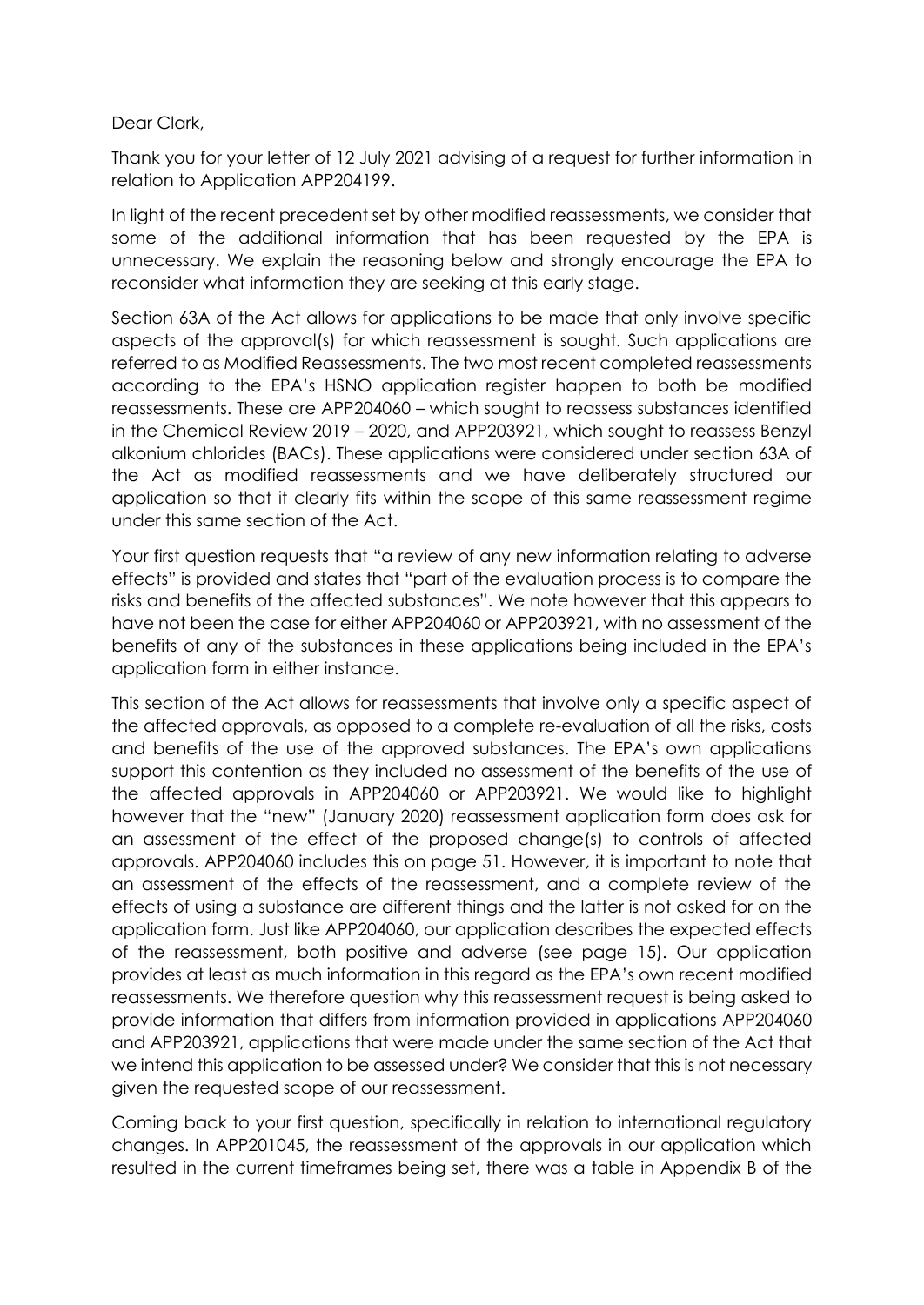## Dear Clark,

Thank you for your letter of 12 July 2021 advising of a request for further information in relation to Application APP204199.

In light of the recent precedent set by other modified reassessments, we consider that some of the additional information that has been requested by the EPA is unnecessary. We explain the reasoning below and strongly encourage the EPA to reconsider what information they are seeking at this early stage.

Section 63A of the Act allows for applications to be made that only involve specific aspects of the approval(s) for which reassessment is sought. Such applications are referred to as Modified Reassessments. The two most recent completed reassessments according to the EPA's HSNO application register happen to both be modified reassessments. These are APP204060 – which sought to reassess substances identified in the Chemical Review 2019 – 2020, and APP203921, which sought to reassess Benzyl alkonium chlorides (BACs). These applications were considered under section 63A of the Act as modified reassessments and we have deliberately structured our application so that it clearly fits within the scope of this same reassessment regime under this same section of the Act.

Your first question requests that "a review of any new information relating to adverse effects" is provided and states that "part of the evaluation process is to compare the risks and benefits of the affected substances". We note however that this appears to have not been the case for either APP204060 or APP203921, with no assessment of the benefits of any of the substances in these applications being included in the EPA's application form in either instance.

This section of the Act allows for reassessments that involve only a specific aspect of the affected approvals, as opposed to a complete re-evaluation of all the risks, costs and benefits of the use of the approved substances. The EPA's own applications support this contention as they included no assessment of the benefits of the use of the affected approvals in APP204060 or APP203921. We would like to highlight however that the "new" (January 2020) reassessment application form does ask for an assessment of the effect of the proposed change(s) to controls of affected approvals. APP204060 includes this on page 51. However, it is important to note that an assessment of the effects of the reassessment, and a complete review of the effects of using a substance are different things and the latter is not asked for on the application form. Just like APP204060, our application describes the expected effects of the reassessment, both positive and adverse (see page 15). Our application provides at least as much information in this regard as the EPA's own recent modified reassessments. We therefore question why this reassessment request is being asked to provide information that differs from information provided in applications APP204060 and APP203921, applications that were made under the same section of the Act that we intend this application to be assessed under? We consider that this is not necessary given the requested scope of our reassessment.

Coming back to your first question, specifically in relation to international regulatory changes. In APP201045, the reassessment of the approvals in our application which resulted in the current timeframes being set, there was a table in Appendix B of the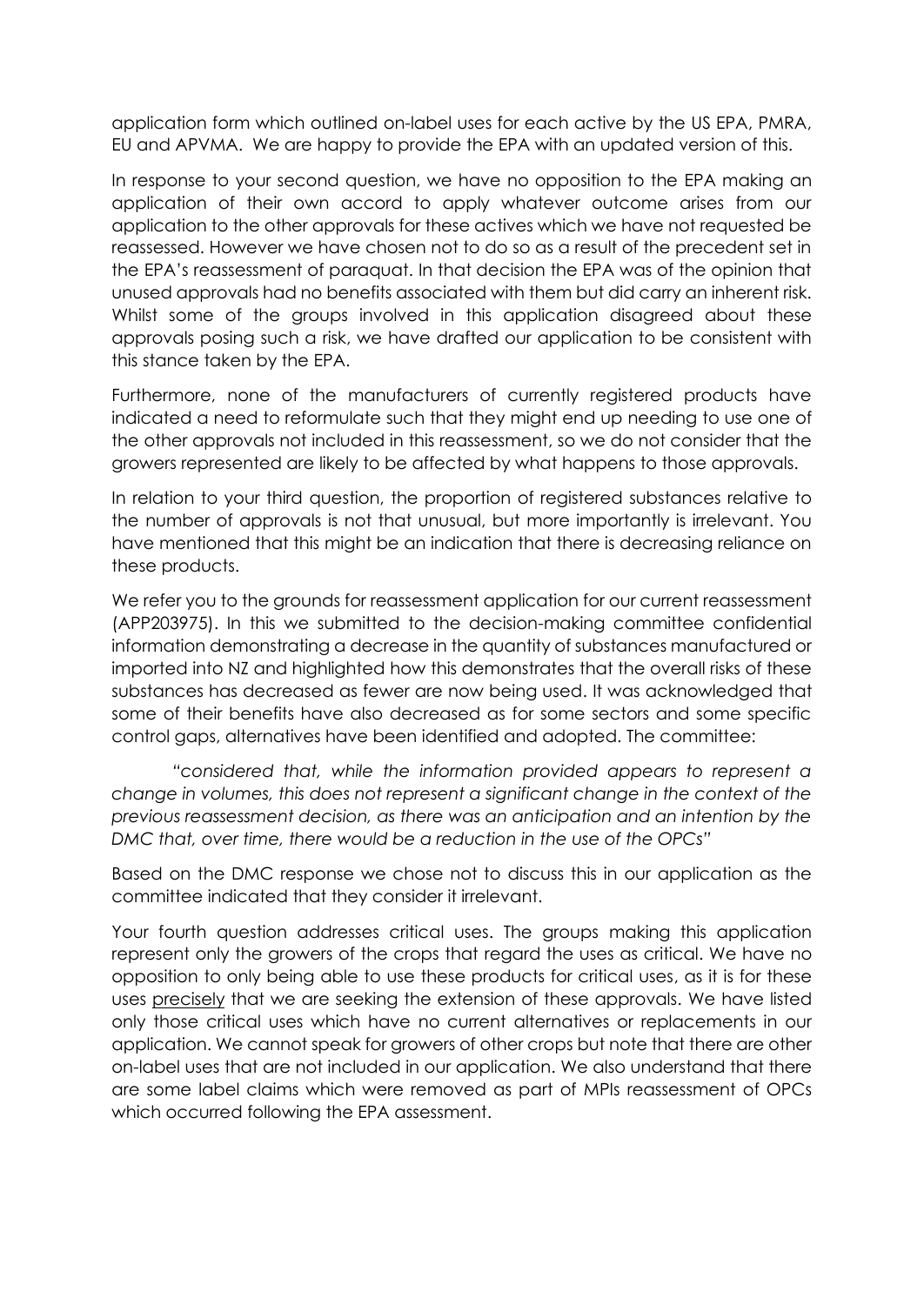application form which outlined on-label uses for each active by the US EPA, PMRA, EU and APVMA. We are happy to provide the EPA with an updated version of this.

In response to your second question, we have no opposition to the EPA making an application of their own accord to apply whatever outcome arises from our application to the other approvals for these actives which we have not requested be reassessed. However we have chosen not to do so as a result of the precedent set in the EPA's reassessment of paraquat. In that decision the EPA was of the opinion that unused approvals had no benefits associated with them but did carry an inherent risk. Whilst some of the groups involved in this application disagreed about these approvals posing such a risk, we have drafted our application to be consistent with this stance taken by the EPA.

Furthermore, none of the manufacturers of currently registered products have indicated a need to reformulate such that they might end up needing to use one of the other approvals not included in this reassessment, so we do not consider that the growers represented are likely to be affected by what happens to those approvals.

In relation to your third question, the proportion of registered substances relative to the number of approvals is not that unusual, but more importantly is irrelevant. You have mentioned that this might be an indication that there is decreasing reliance on these products.

We refer you to the grounds for reassessment application for our current reassessment (APP203975). In this we submitted to the decision-making committee confidential information demonstrating a decrease in the quantity of substances manufactured or imported into NZ and highlighted how this demonstrates that the overall risks of these substances has decreased as fewer are now being used. It was acknowledged that some of their benefits have also decreased as for some sectors and some specific control gaps, alternatives have been identified and adopted. The committee:

*"considered that, while the information provided appears to represent a change in volumes, this does not represent a significant change in the context of the previous reassessment decision, as there was an anticipation and an intention by the DMC that, over time, there would be a reduction in the use of the OPCs"*

Based on the DMC response we chose not to discuss this in our application as the committee indicated that they consider it irrelevant.

Your fourth question addresses critical uses. The groups making this application represent only the growers of the crops that regard the uses as critical. We have no opposition to only being able to use these products for critical uses, as it is for these uses precisely that we are seeking the extension of these approvals. We have listed only those critical uses which have no current alternatives or replacements in our application. We cannot speak for growers of other crops but note that there are other on-label uses that are not included in our application. We also understand that there are some label claims which were removed as part of MPIs reassessment of OPCs which occurred following the EPA assessment.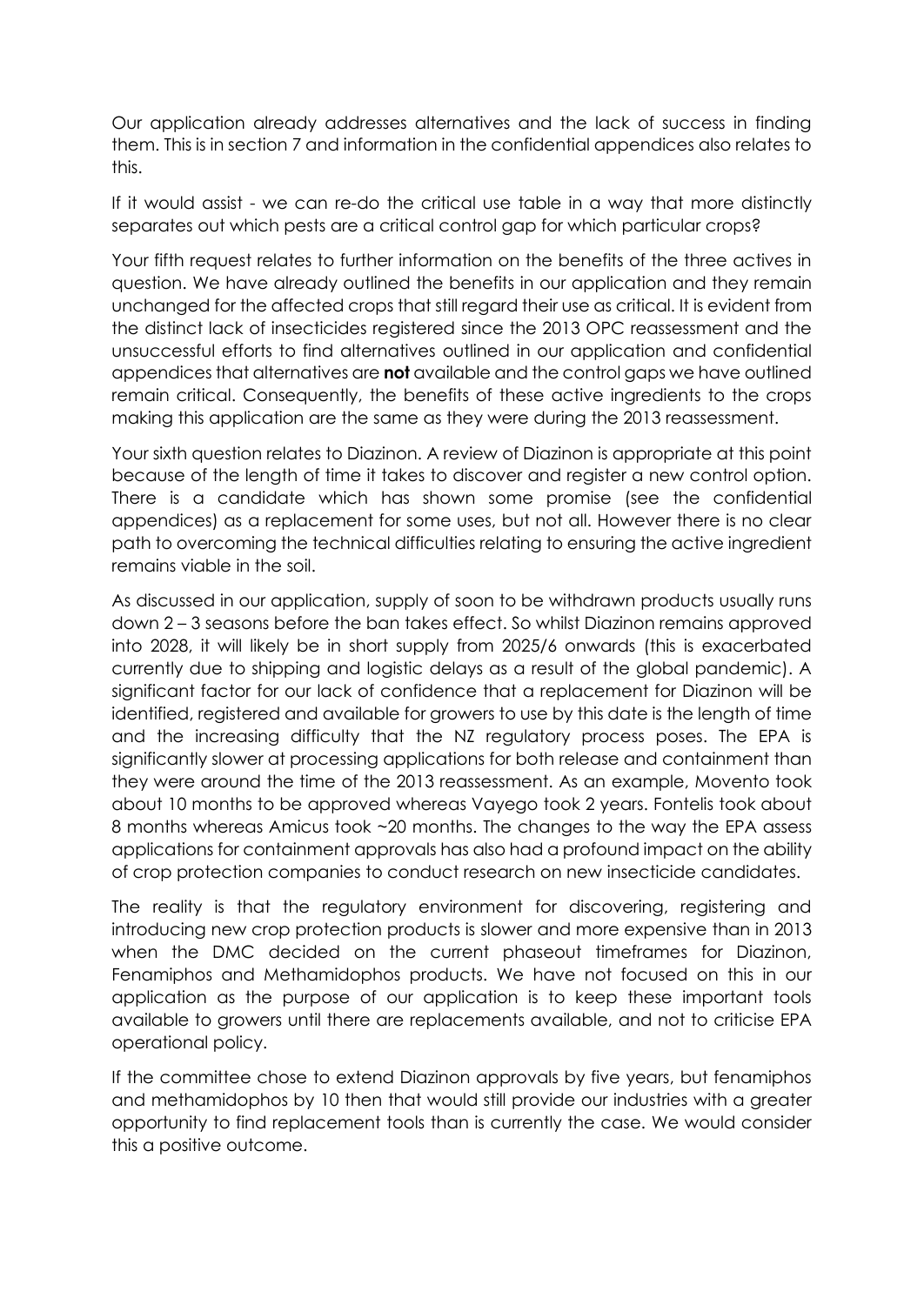Our application already addresses alternatives and the lack of success in finding them. This is in section 7 and information in the confidential appendices also relates to this.

If it would assist - we can re-do the critical use table in a way that more distinctly separates out which pests are a critical control gap for which particular crops?

Your fifth request relates to further information on the benefits of the three actives in question. We have already outlined the benefits in our application and they remain unchanged for the affected crops that still regard their use as critical. It is evident from the distinct lack of insecticides registered since the 2013 OPC reassessment and the unsuccessful efforts to find alternatives outlined in our application and confidential appendices that alternatives are **not** available and the control gaps we have outlined remain critical. Consequently, the benefits of these active ingredients to the crops making this application are the same as they were during the 2013 reassessment.

Your sixth question relates to Diazinon. A review of Diazinon is appropriate at this point because of the length of time it takes to discover and register a new control option. There is a candidate which has shown some promise (see the confidential appendices) as a replacement for some uses, but not all. However there is no clear path to overcoming the technical difficulties relating to ensuring the active ingredient remains viable in the soil.

As discussed in our application, supply of soon to be withdrawn products usually runs down 2 – 3 seasons before the ban takes effect. So whilst Diazinon remains approved into 2028, it will likely be in short supply from 2025/6 onwards (this is exacerbated currently due to shipping and logistic delays as a result of the global pandemic). A significant factor for our lack of confidence that a replacement for Diazinon will be identified, registered and available for growers to use by this date is the length of time and the increasing difficulty that the NZ regulatory process poses. The EPA is significantly slower at processing applications for both release and containment than they were around the time of the 2013 reassessment. As an example, Movento took about 10 months to be approved whereas Vayego took 2 years. Fontelis took about 8 months whereas Amicus took ~20 months. The changes to the way the EPA assess applications for containment approvals has also had a profound impact on the ability of crop protection companies to conduct research on new insecticide candidates.

The reality is that the regulatory environment for discovering, registering and introducing new crop protection products is slower and more expensive than in 2013 when the DMC decided on the current phaseout timeframes for Diazinon, Fenamiphos and Methamidophos products. We have not focused on this in our application as the purpose of our application is to keep these important tools available to growers until there are replacements available, and not to criticise EPA operational policy.

If the committee chose to extend Diazinon approvals by five years, but fenamiphos and methamidophos by 10 then that would still provide our industries with a greater opportunity to find replacement tools than is currently the case. We would consider this a positive outcome.